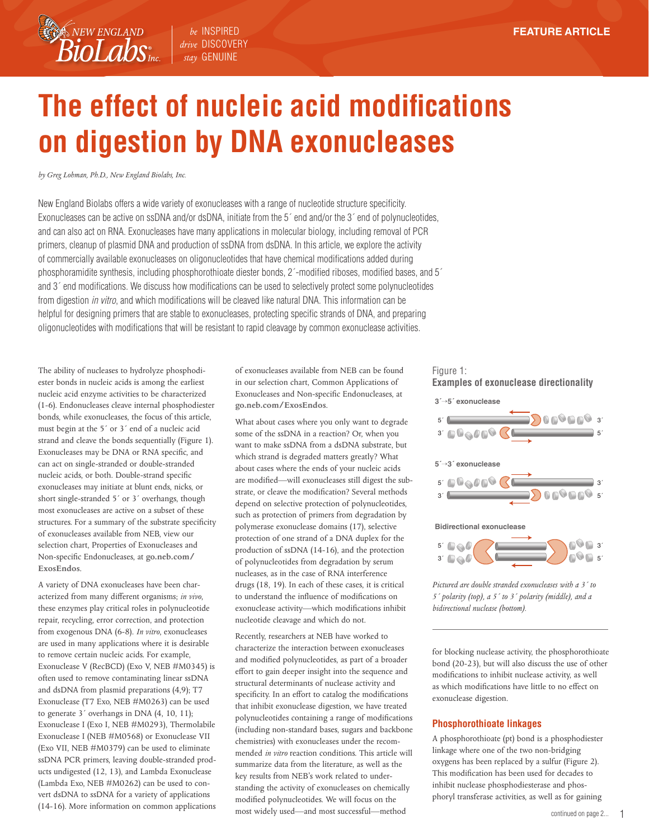*drive* DISCOVERY *stay* GENUINE

# **The effect of nucleic acid modifications on digestion by DNA exonucleases**

*by Greg Lohman, Ph.D., New England Biolabs, Inc.*

**BioLabs** 

New England Biolabs offers a wide variety of exonucleases with a range of nucleotide structure specificity. Exonucleases can be active on ssDNA and/or dsDNA, initiate from the 5<sup>o</sup> end and/or the 3<sup>o</sup> end of polynucleotides, and can also act on RNA. Exonucleases have many applications in molecular biology, including removal of PCR primers, cleanup of plasmid DNA and production of ssDNA from dsDNA. In this article, we explore the activity of commercially available exonucleases on oligonucleotides that have chemical modifications added during phosphoramidite synthesis, including phosphorothioate diester bonds, 2´-modified riboses, modified bases, and 5´ and 3´ end modifications. We discuss how modifications can be used to selectively protect some polynucleotides from digestion *in vitro*, and which modifications will be cleaved like natural DNA. This information can be helpful for designing primers that are stable to exonucleases, protecting specific strands of DNA, and preparing oligonucleotides with modifications that will be resistant to rapid cleavage by common exonuclease activities.

The ability of nucleases to hydrolyze phosphodiester bonds in nucleic acids is among the earliest nucleic acid enzyme activities to be characterized (1-6). Endonucleases cleave internal phosphodiester bonds, while exonucleases, the focus of this article, must begin at the 5´ or 3´ end of a nucleic acid strand and cleave the bonds sequentially (Figure 1). Exonucleases may be DNA or RNA specific, and can act on single-stranded or double-stranded nucleic acids, or both. Double-strand specific exonucleases may initiate at blunt ends, nicks, or short single-stranded 5´ or 3´ overhangs, though most exonucleases are active on a subset of these structures. For a summary of the substrate specificity of exonucleases available from NEB, view our selection chart, Properties of Exonucleases and Non-specific Endonucleases, at **go.neb.com/ ExosEndos**.

A variety of DNA exonucleases have been characterized from many different organisms; *in vivo*, these enzymes play critical roles in polynucleotide repair, recycling, error correction, and protection from exogenous DNA (6-8). *In vitro*, exonucleases are used in many applications where it is desirable to remove certain nucleic acids. For example, Exonuclease V (RecBCD) (Exo V, NEB #M0345) is often used to remove contaminating linear ssDNA and dsDNA from plasmid preparations (4,9); T7 Exonuclease (T7 Exo, NEB #M0263) can be used to generate 3´ overhangs in DNA (4, 10, 11); Exonuclease I (Exo I, NEB #M0293), Thermolabile Exonuclease I (NEB #M0568) or Exonuclease VII (Exo VII, NEB #M0379) can be used to eliminate ssDNA PCR primers, leaving double-stranded products undigested (12, 13), and Lambda Exonuclease (Lambda Exo, NEB #M0262) can be used to convert dsDNA to ssDNA for a variety of applications (14-16). More information on common applications of exonucleases available from NEB can be found in our selection chart, Common Applications of Exonucleases and Non-specific Endonucleases, at **go.neb.com/ExosEndos**.

What about cases where you only want to degrade some of the ssDNA in a reaction? Or, when you want to make ssDNA from a dsDNA substrate, but which strand is degraded matters greatly? What about cases where the ends of your nucleic acids are modified—will exonucleases still digest the substrate, or cleave the modification? Several methods depend on selective protection of polynucleotides, such as protection of primers from degradation by polymerase exonuclease domains (17), selective protection of one strand of a DNA duplex for the production of ssDNA (14-16), and the protection of polynucleotides from degradation by serum nucleases, as in the case of RNA interference drugs (18, 19). In each of these cases, it is critical to understand the influence of modifications on exonuclease activity—which modifications inhibit nucleotide cleavage and which do not.

Recently, researchers at NEB have worked to characterize the interaction between exonucleases and modified polynucleotides, as part of a broader effort to gain deeper insight into the sequence and structural determinants of nuclease activity and specificity. In an effort to catalog the modifications that inhibit exonuclease digestion, we have treated polynucleotides containing a range of modifications (including non-standard bases, sugars and backbone chemistries) with exonucleases under the recommended *in vitro* reaction conditions. This article will summarize data from the literature, as well as the key results from NEB's work related to understanding the activity of exonucleases on chemically modified polynucleotides. We will focus on the most widely used—and most successful—method

# Figure 1: **Examples of exonuclease directionality**



*Pictured are double stranded exonucleases with a 3´ to 5´ polarity (top), a 5´ to 3´ polarity (middle), and a bidirectional nuclease (bottom).*

for blocking nuclease activity, the phosphorothioate bond (20-23), but will also discuss the use of other modifications to inhibit nuclease activity, as well as which modifications have little to no effect on exonuclease digestion.

#### **Phosphorothioate linkages**

A phosphorothioate (pt) bond is a phosphodiester linkage where one of the two non-bridging oxygens has been replaced by a sulfur (Figure 2). This modification has been used for decades to inhibit nuclease phosphodiesterase and phosphoryl transferase activities, as well as for gaining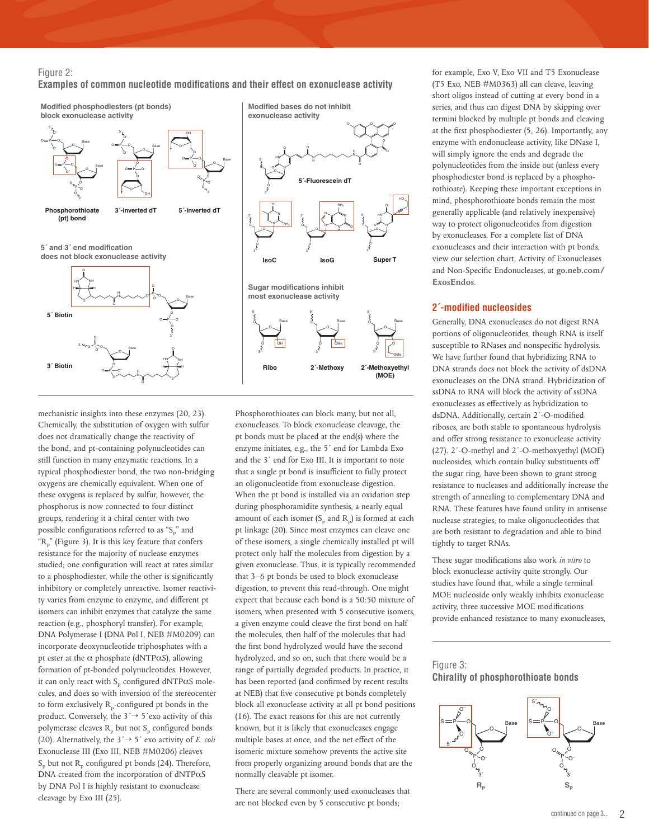#### Figure 2:

**Examples of common nucleotide modifications and their effect on exonuclease activity**



mechanistic insights into these enzymes (20, 23). Chemically, the substitution of oxygen with sulfur does not dramatically change the reactivity of the bond, and pt-containing polynucleotides can still function in many enzymatic reactions. In a typical phosphodiester bond, the two non-bridging oxygens are chemically equivalent. When one of these oxygens is replaced by sulfur, however, the phosphorus is now connected to four distinct groups, rendering it a chiral center with two possible configurations referred to as " $S_p$ " and  ${}^{\text{th}}\text{R}_{p}$ " (Figure 3). It is this key feature that confers resistance for the majority of nuclease enzymes studied; one configuration will react at rates similar to a phosphodiester, while the other is significantly inhibitory or completely unreactive. Isomer reactivity varies from enzyme to enzyme, and different pt isomers can inhibit enzymes that catalyze the same reaction (e.g., phosphoryl transfer). For example, DNA Polymerase I (DNA Pol I, NEB #M0209) can incorporate deoxynucleotide triphosphates with a pt ester at the  $\alpha$  phosphate (dNTP $\alpha$ S), allowing formation of pt-bonded polynucleotides. However, it can only react with  $S_p$  configured dNTP $\alpha$ S molecules, and does so with inversion of the stereocenter to form exclusively  $R_p$ -configured pt bonds in the product. Conversely, the  $3' \rightarrow 5'$ exo activity of this polymerase cleaves  $R_{p}$  but not  $S_{p}$  configured bonds (20). Alternatively, the 3´→ 5´ exo activity of *E. coli* Exonuclease III (Exo III, NEB #M0206) cleaves  $S_{\rm p}$  but not  $R_{\rm p}$  configured pt bonds (24). Therefore, DNA created from the incorporation of dNTPαS by DNA Pol I is highly resistant to exonuclease cleavage by Exo III (25).

Phosphorothioates can block many, but not all, exonucleases. To block exonuclease cleavage, the pt bonds must be placed at the end(s) where the enzyme initiates, e.g., the 5´ end for Lambda Exo and the 3´ end for Exo III. It is important to note that a single pt bond is insufficient to fully protect an oligonucleotide from exonuclease digestion. When the pt bond is installed via an oxidation step during phosphoramidite synthesis, a nearly equal amount of each isomer  $(S_p \text{ and } R_p)$  is formed at each pt linkage (20). Since most enzymes can cleave one of these isomers, a single chemically installed pt will protect only half the molecules from digestion by a given exonuclease. Thus, it is typically recommended that 3–6 pt bonds be used to block exonuclease digestion, to prevent this read-through. One might expect that because each bond is a 50:50 mixture of isomers, when presented with 5 consecutive isomers, a given enzyme could cleave the first bond on half the molecules, then half of the molecules that had the first bond hydrolyzed would have the second hydrolyzed, and so on, such that there would be a range of partially degraded products. In practice, it has been reported (and confirmed by recent results at NEB) that five consecutive pt bonds completely block all exonuclease activity at all pt bond positions (16). The exact reasons for this are not currently known, but it is likely that exonucleases engage multiple bases at once, and the net effect of the isomeric mixture somehow prevents the active site from properly organizing around bonds that are the normally cleavable pt isomer.

**2´-Methoxyethyl (MOE)**

Base

OMe

O

3´

5´

H N

N

5´

O 3´

O O-O O -

> N HN

HO

There are several commonly used exonucleases that are not blocked even by 5 consecutive pt bonds;

for example, Exo V, Exo VII and T5 Exonuclease (T5 Exo, NEB #M0363) all can cleave, leaving short oligos instead of cutting at every bond in a series, and thus can digest DNA by skipping over termini blocked by multiple pt bonds and cleaving at the first phosphodiester (5, 26). Importantly, any enzyme with endonuclease activity, like DNase I, will simply ignore the ends and degrade the polynucleotides from the inside out (unless every phosphodiester bond is replaced by a phosphorothioate). Keeping these important exceptions in mind, phosphorothioate bonds remain the most generally applicable (and relatively inexpensive) way to protect oligonucleotides from digestion by exonucleases. For a complete list of DNA exonucleases and their interaction with pt bonds, view our selection chart, Activity of Exonucleases and Non-Specific Endonucleases, at **go.neb.com/ ExosEndos**.

#### **2´-modified nucleosides**

Generally, DNA exonucleases do not digest RNA portions of oligonucleotides, though RNA is itself susceptible to RNases and nonspecific hydrolysis. We have further found that hybridizing RNA to DNA strands does not block the activity of dsDNA exonucleases on the DNA strand. Hybridization of ssDNA to RNA will block the activity of ssDNA exonucleases as effectively as hybridization to dsDNA. Additionally, certain 2´-O-modified riboses, are both stable to spontaneous hydrolysis and offer strong resistance to exonuclease activity (27). 2´-O-methyl and 2´-O-methoxyethyl (MOE) nucleosides, which contain bulky substituents off the sugar ring, have been shown to grant strong resistance to nucleases and additionally increase the strength of annealing to complementary DNA and RNA. These features have found utility in antisense nuclease strategies, to make oligonucleotides that are both resistant to degradation and able to bind tightly to target RNAs.

These sugar modifications also work *in vitro* to block exonuclease activity quite strongly. Our studies have found that, while a single terminal MOE nucleoside only weakly inhibits exonuclease activity, three successive MOE modifications provide enhanced resistance to many exonucleases,

## Figure 3: **Chirality of phosphorothioate bonds**